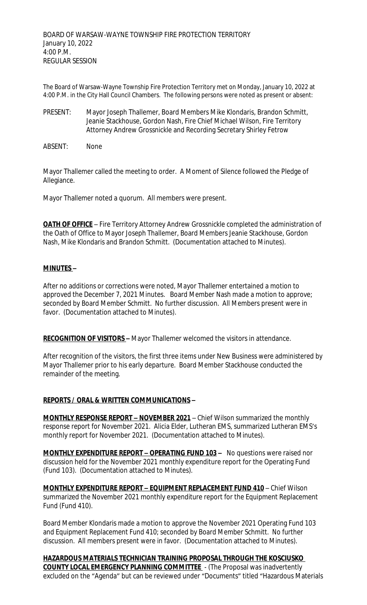The Board of Warsaw-Wayne Township Fire Protection Territory met on Monday, January 10, 2022 at 4:00 P.M. in the City Hall Council Chambers. The following persons were noted as present or absent:

- PRESENT: Mayor Joseph Thallemer, Board Members Mike Klondaris, Brandon Schmitt, Jeanie Stackhouse, Gordon Nash, Fire Chief Michael Wilson, Fire Territory Attorney Andrew Grossnickle and Recording Secretary Shirley Fetrow
- ABSENT: None

Mayor Thallemer called the meeting to order. A Moment of Silence followed the Pledge of Allegiance.

Mayor Thallemer noted a quorum. All members were present.

**OATH OF OFFICE** – Fire Territory Attorney Andrew Grossnickle completed the administration of the Oath of Office to Mayor Joseph Thallemer, Board Members Jeanie Stackhouse, Gordon Nash, Mike Klondaris and Brandon Schmitt. (Documentation attached to Minutes).

## **MINUTES –**

After no additions or corrections were noted, Mayor Thallemer entertained a motion to approved the December 7, 2021 Minutes. Board Member Nash made a motion to approve; seconded by Board Member Schmitt. No further discussion. All Members present were in favor. (Documentation attached to Minutes).

**RECOGNITION OF VISITORS –** Mayor Thallemer welcomed the visitors in attendance.

After recognition of the visitors, the first three items under New Business were administered by Mayor Thallemer prior to his early departure. Board Member Stackhouse conducted the remainder of the meeting.

## **REPORTS / ORAL & WRITTEN COMMUNICATIONS –**

**MONTHLY RESPONSE REPORT - NOVEMBER 2021** - Chief Wilson summarized the monthly response report for November 2021. Alicia Elder, Lutheran EMS, summarized Lutheran EMS's monthly report for November 2021. (Documentation attached to Minutes).

**MONTHLY EXPENDITURE REPORT – OPERATING FUND 103 –** No questions were raised nor discussion held for the November 2021 monthly expenditure report for the Operating Fund (Fund 103). (Documentation attached to Minutes).

**MONTHLY EXPENDITURE REPORT – EQUIPMENT REPLACEMENT FUND 410** – Chief Wilson summarized the November 2021 monthly expenditure report for the Equipment Replacement Fund (Fund 410).

Board Member Klondaris made a motion to approve the November 2021 Operating Fund 103 and Equipment Replacement Fund 410; seconded by Board Member Schmitt. No further discussion. All members present were in favor. (Documentation attached to Minutes).

**HAZARDOUS MATERIALS TECHNICIAN TRAINING PROPOSAL THROUGH THE KOSCIUSKO COUNTY LOCAL EMERGENCY PLANNING COMMITTEE** - (The Proposal was inadvertently excluded on the "Agenda" but can be reviewed under "Documents" titled "Hazardous Materials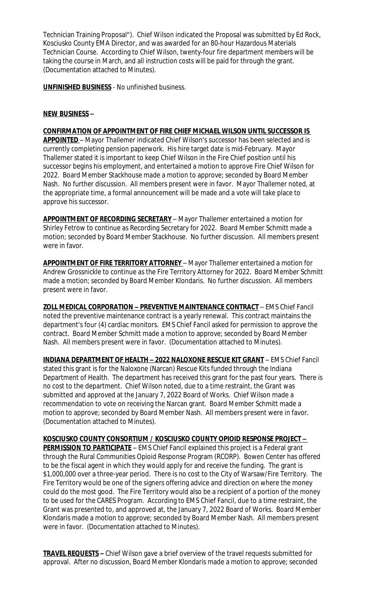Technician Training Proposal"). Chief Wilson indicated the Proposal was submitted by Ed Rock, Kosciusko County EMA Director, and was awarded for an 80-hour Hazardous Materials Technician Course. According to Chief Wilson, twenty-four fire department members will be taking the course in March, and all instruction costs will be paid for through the grant. (Documentation attached to Minutes).

**UNFINISHED BUSINESS** - No unfinished business.

#### **NEW BUSINESS –**

#### **CONFIRMATION OF APPOINTMENT OF FIRE CHIEF MICHAEL WILSON UNTIL SUCCESSOR IS**

**APPOINTED** – Mayor Thallemer indicated Chief Wilson's successor has been selected and is currently completing pension paperwork. His hire target date is mid-February. Mayor Thallemer stated it is important to keep Chief Wilson in the Fire Chief position until his successor begins his employment, and entertained a motion to approve Fire Chief Wilson for 2022. Board Member Stackhouse made a motion to approve; seconded by Board Member Nash. No further discussion. All members present were in favor. Mayor Thallemer noted, at the appropriate time, a formal announcement will be made and a vote will take place to approve his successor.

**APPOINTMENT OF RECORDING SECRETARY** – Mayor Thallemer entertained a motion for Shirley Fetrow to continue as Recording Secretary for 2022. Board Member Schmitt made a motion; seconded by Board Member Stackhouse. No further discussion. All members present were in favor.

**APPOINTMENT OF FIRE TERRITORY ATTORNEY** – Mayor Thallemer entertained a motion for Andrew Grossnickle to continue as the Fire Territory Attorney for 2022. Board Member Schmitt made a motion; seconded by Board Member Klondaris. No further discussion. All members present were in favor.

**ZOLL MEDICAL CORPORATION – PREVENTIVE MAINTENANCE CONTRACT** – EMS Chief Fancil noted the preventive maintenance contract is a yearly renewal. This contract maintains the department's four (4) cardiac monitors. EMS Chief Fancil asked for permission to approve the contract. Board Member Schmitt made a motion to approve; seconded by Board Member Nash. All members present were in favor. (Documentation attached to Minutes).

**INDIANA DEPARTMENT OF HEALTH – 2022 NALOXONE RESCUE KIT GRANT** – EMS Chief Fancil stated this grant is for the Naloxone (Narcan) Rescue Kits funded through the Indiana Department of Health. The department has received this grant for the past four years. There is no cost to the department. Chief Wilson noted, due to a time restraint, the Grant was submitted and approved at the January 7, 2022 Board of Works. Chief Wilson made a recommendation to vote on receiving the Narcan grant. Board Member Schmitt made a motion to approve; seconded by Board Member Nash. All members present were in favor. (Documentation attached to Minutes).

**KOSCIUSKO COUNTY CONSORTIUM / KOSCIUSKO COUNTY OPIOID RESPONSE PROJECT – PERMISSION TO PARTICIPATE** – EMS Chief Fancil explained this project is a Federal grant through the Rural Communities Opioid Response Program (RCORP). Bowen Center has offered to be the fiscal agent in which they would apply for and receive the funding. The grant is \$1,000,000 over a three-year period. There is no cost to the City of Warsaw/Fire Territory. The Fire Territory would be one of the signers offering advice and direction on where the money could do the most good. The Fire Territory would also be a recipient of a portion of the money to be used for the CARES Program. According to EMS Chief Fancil, due to a time restraint, the Grant was presented to, and approved at, the January 7, 2022 Board of Works. Board Member Klondaris made a motion to approve; seconded by Board Member Nash. All members present were in favor. (Documentation attached to Minutes).

**TRAVEL REQUESTS –** Chief Wilson gave a brief overview of the travel requests submitted for approval. After no discussion, Board Member Klondaris made a motion to approve; seconded